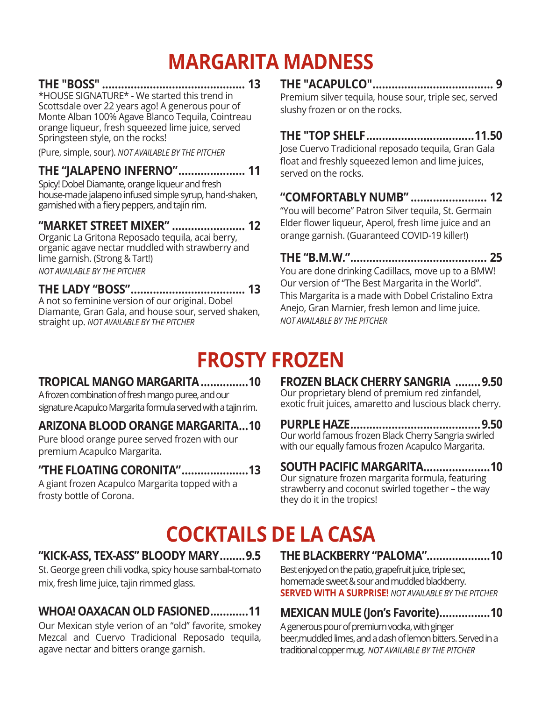# **MARGARITA MADNESS**

**THE "BOSS" ............................................. 13** \*HOUSE SIGNATURE\* - We started this trend in Scottsdale over 22 years ago! A generous pour of Monte Alban 100% Agave Blanco Tequila, Cointreau orange liqueur, fresh squeezed lime juice, served Springsteen style, on the rocks!

(Pure, simple, sour). *NOT AVAILABLE BY THE PITCHER*

# **THE "JALAPENO INFERNO"..................... 11**

Spicy! Dobel Diamante, orange liqueur and fresh house-made jalapeno infused simple syrup, hand-shaken, garnished with a fiery peppers, and tajin rim.

### **"MARKET STREET MIXER" ....................... 12**

Organic La Gritona Reposado tequila, acai berry, organic agave nectar muddled with strawberry and lime garnish. (Strong & Tart!) *NOT AVAILABLE BY THE PITCHER*

#### **THE LADY "BOSS".................................... 13**

A not so feminine version of our original. Dobel Diamante, Gran Gala, and house sour, served shaken, straight up. *NOT AVAILABLE BY THE PITCHER*

# **THE "ACAPULCO"...................................... 9**

Premium silver tequila, house sour, triple sec, served slushy frozen or on the rocks.

# **THE "TOP SHELF..................................11.50**

Jose Cuervo Tradicional reposado tequila, Gran Gala float and freshly squeezed lemon and lime juices, served on the rocks.

# **"COMFORTABLY NUMB" ........................ 12**

"You will become" Patron Silver tequila, St. Germain Elder flower liqueur, Aperol, fresh lime juice and an orange garnish. (Guaranteed COVID-19 killer!)

**THE "B.M.W."........................................... 25** You are done drinking Cadillacs, move up to a BMW! Our version of "The Best Margarita in the World". This Margarita is a made with Dobel Cristalino Extra Anejo, Gran Marnier, fresh lemon and lime juice. *NOT AVAILABLE BY THE PITCHER*

# **FROSTY FROZEN**

# **TROPICAL MANGO MARGARITA...............10**

A frozen combination of fresh mango puree, and our signature Acapulco Margarita formula served with a tajin rim.

# **ARIZONA BLOOD ORANGE MARGARITA...10**

Pure blood orange puree served frozen with our premium Acapulco Margarita.

# **"THE FLOATING CORONITA".....................13**

A giant frozen Acapulco Margarita topped with a frosty bottle of Corona.

**FROZEN BLACK CHERRY SANGRIA ........9.50** Our proprietary blend of premium red zinfandel, exotic fruit juices, amaretto and luscious black cherry.

**PURPLE HAZE.........................................9.50** Our world famous frozen Black Cherry Sangria swirled with our equally famous frozen Acapulco Margarita.

# **SOUTH PACIFIC MARGARITA.....................10**

Our signature frozen margarita formula, featuring strawberry and coconut swirled together – the way they do it in the tropics!

# **COCKTAILS DE LA CASA**

# **"KICK-ASS, TEX-ASS" BLOODY MARY........9.5**

St. George green chili vodka, spicy house sambal-tomato mix, fresh lime juice, tajin rimmed glass.

# **WHOA! OAXACAN OLD FASIONED............11**

Our Mexican style verion of an "old" favorite, smokey Mezcal and Cuervo Tradicional Reposado tequila, agave nectar and bitters orange garnish.

# **THE BLACKBERRY "PALOMA"....................10**

Best enjoyed on the patio, grapefruit juice, triple sec, homemade sweet & sour and muddled blackberry. **SERVED WITH A SURPRISE!** *NOT AVAILABLE BY THE PITCHER*

# **MEXICAN MULE (Jon's Favorite)................10**

A generous pour of premium vodka, with ginger beer,muddled limes, and a dash of lemon bitters. Served in a traditional copper mug. *NOT AVAILABLE BY THE PITCHER*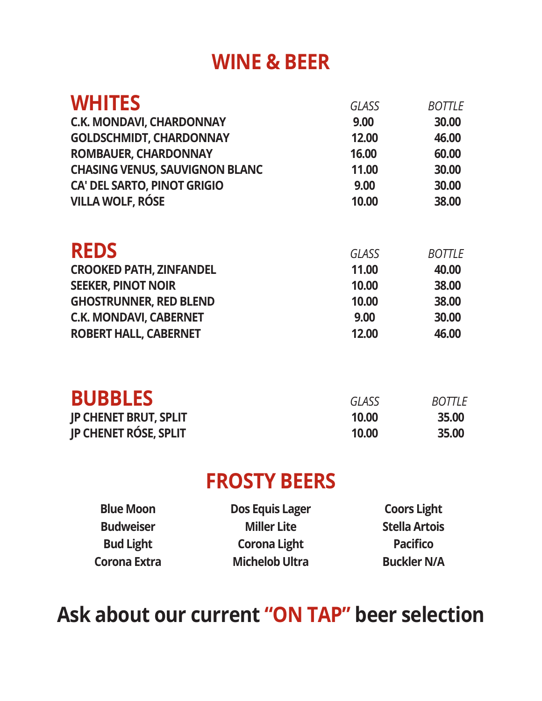# **WINE & BEER**

| <b>WHITES</b>                         | <b>GLASS</b> | <b>BOTTLE</b> |
|---------------------------------------|--------------|---------------|
| <b>C.K. MONDAVI, CHARDONNAY</b>       | 9.00         | 30.00         |
| <b>GOLDSCHMIDT, CHARDONNAY</b>        | 12.00        | 46.00         |
| <b>ROMBAUER, CHARDONNAY</b>           | 16.00        | 60.00         |
| <b>CHASING VENUS, SAUVIGNON BLANC</b> | 11.00        | 30.00         |
| <b>CA' DEL SARTO, PINOT GRIGIO</b>    | 9.00         | 30.00         |
| <b>VILLA WOLF, RÓSE</b>               | 10.00        | 38.00         |
| <b>REDS</b>                           | <b>GLASS</b> | <b>BOTTLE</b> |
| <b>CROOKED PATH, ZINFANDEL</b>        | 11.00        | 40.00         |
| <b>SEEKER, PINOT NOIR</b>             | 10.00        | 38.00         |
| <b>GHOSTRUNNER, RED BLEND</b>         | 10.00        | 38.00         |
| <b>C.K. MONDAVI, CABERNET</b>         | 9.00         | 30.00         |
| <b>ROBERT HALL, CABERNET</b>          | 12.00        | 46.00         |
| <b>BUBBLES</b>                        | <b>GLASS</b> | <b>BOTTLE</b> |
| <b>JP CHENET BRUT, SPLIT</b>          | 10.00        | 35.00         |
| <b>IP CHENET RÓSE, SPLIT</b>          | 10.00        | 35.00         |
|                                       |              |               |

# **FROSTY BEERS**

| <b>Blue Moon</b> | <b>Dos Equis Lager</b> | <b>Coors Light</b>   |
|------------------|------------------------|----------------------|
| <b>Budweiser</b> | <b>Miller Lite</b>     | <b>Stella Artois</b> |
| <b>Bud Light</b> | <b>Corona Light</b>    | <b>Pacifico</b>      |
| Corona Extra     | <b>Michelob Ultra</b>  | <b>Buckler N/A</b>   |

# **Ask about our current "ON TAP" beer selection**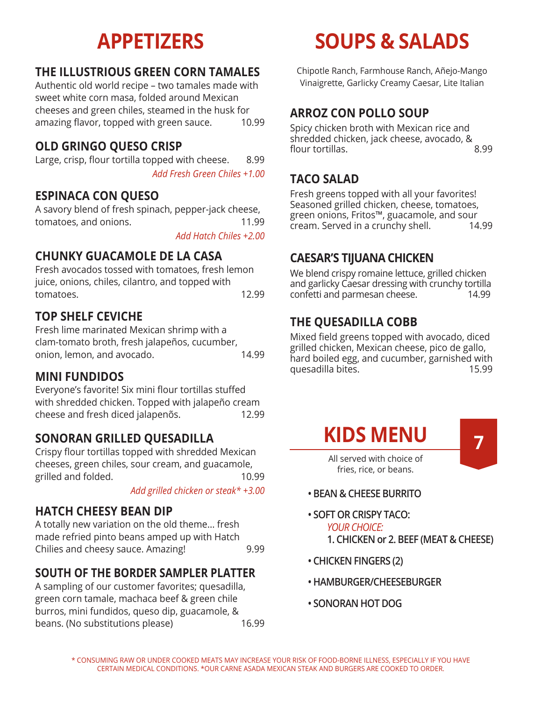# **THE ILLUSTRIOUS GREEN CORN TAMALES**

Authentic old world recipe – two tamales made with sweet white corn masa, folded around Mexican cheeses and green chiles, steamed in the husk for amazing flavor, topped with green sauce. 10.99

## **OLD GRINGO QUESO CRISP**

Large, crisp, flour tortilla topped with cheese. 8.99 *Add Fresh Green Chiles +1.00*

# **ESPINACA CON QUESO**

A savory blend of fresh spinach, pepper-jack cheese, tomatoes, and onions. 11.99

*Add Hatch Chiles +2.00*

# **CHUNKY GUACAMOLE DE LA CASA**

Fresh avocados tossed with tomatoes, fresh lemon juice, onions, chiles, cilantro, and topped with tomatoes. 12.99

# **TOP SHELF CEVICHE**

Fresh lime marinated Mexican shrimp with a clam-tomato broth, fresh jalapeños, cucumber, onion, lemon, and avocado. 14.99

#### **MINI FUNDIDOS**

Everyone's favorite! Six mini flour tortillas stuffed with shredded chicken. Topped with jalapeño cream cheese and fresh diced jalapenõs. 12.99

### **SONORAN GRILLED QUESADILLA**

Crispy flour tortillas topped with shredded Mexican cheeses, green chiles, sour cream, and guacamole, grilled and folded. 10.99

*Add grilled chicken or steak\* +3.00*

#### **HATCH CHEESY BEAN DIP**

A totally new variation on the old theme... fresh made refried pinto beans amped up with Hatch Chilies and cheesy sauce. Amazing! 9.99

### **SOUTH OF THE BORDER SAMPLER PLATTER**

A sampling of our customer favorites; quesadilla, green corn tamale, machaca beef & green chile burros, mini fundidos, queso dip, guacamole, & beans. (No substitutions please) 16.99

# **APPETIZERS SOUPS & SALADS**

Chipotle Ranch, Farmhouse Ranch, Añejo-Mango Vinaigrette, Garlicky Creamy Caesar, Lite Italian

### **ARROZ CON POLLO SOUP**

Spicy chicken broth with Mexican rice and shredded chicken, jack cheese, avocado, & flour tortillas. 8.99

### **TACO SALAD**

Fresh greens topped with all your favorites! Seasoned grilled chicken, cheese, tomatoes, green onions, Fritos™, guacamole, and sour<br>cream, Served in a crunchy shell. 14.99 cream. Served in a crunchy shell.

# **CAESAR'S TIJUANA CHICKEN**

We blend crispy romaine lettuce, grilled chicken and garlicky Caesar dressing with crunchy tortilla confetti and parmesan cheese. 14.99

# **THE QUESADILLA COBB**

Mixed field greens topped with avocado, diced grilled chicken, Mexican cheese, pico de gallo, hard boiled egg, and cucumber, garnished with quesadilla bites. 15.99



fries, rice, or beans.

- **BEAN & CHEESE BURRITO**
- **SOFT OR CRISPY TACO:** *YOUR CHOICE:* **1. CHICKEN or 2. BEEF (MEAT & CHEESE)**
- **CHICKEN FINGERS (2)**
- **HAMBURGER/CHEESEBURGER**
- **SONORAN HOT DOG**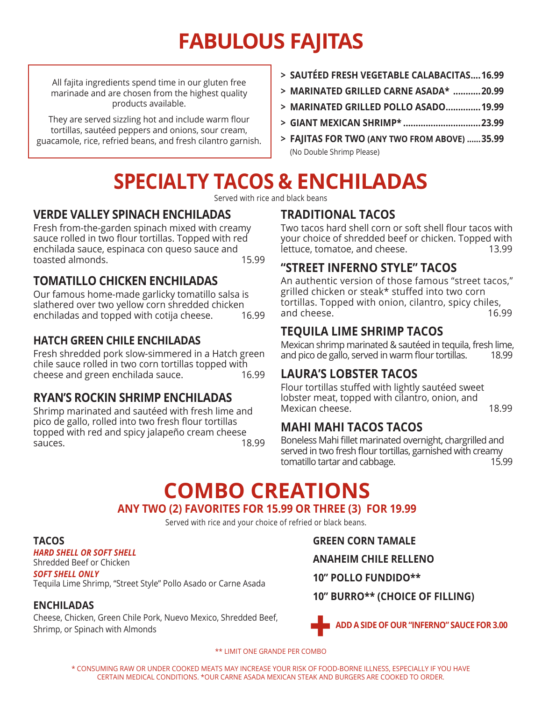# **FABULOUS FAJITAS**

All fajita ingredients spend time in our gluten free marinade and are chosen from the highest quality products available.

They are served sizzling hot and include warm flour tortillas, sautéed peppers and onions, sour cream, guacamole, rice, refried beans, and fresh cilantro garnish.

- **> SAUTÉED FRESH VEGETABLE CALABACITAS....16.99**
- **> MARINATED GRILLED CARNE ASADA\* ...........20.99**
- **> MARINATED GRILLED POLLO ASADO..............19.99**
- **> GIANT MEXICAN SHRIMP\* ...............................23.99**
- **> FAJITAS FOR TWO (ANY TWO FROM ABOVE) ......35.99** (No Double Shrimp Please)

# **SPECIALTY TACOS & ENCHILADAS**

Served with rice and black beans

### **VERDE VALLEY SPINACH ENCHILADAS**

Fresh from-the-garden spinach mixed with creamy sauce rolled in two flour tortillas. Topped with red enchilada sauce, espinaca con queso sauce and toasted almonds. 15.99

### **TOMATILLO CHICKEN ENCHILADAS**

Our famous home-made garlicky tomatillo salsa is slathered over two yellow corn shredded chicken enchiladas and topped with cotija cheese. 16.99

#### **HATCH GREEN CHILE ENCHILADAS**

Fresh shredded pork slow-simmered in a Hatch green chile sauce rolled in two corn tortillas topped with cheese and green enchilada sauce.

#### **RYAN'S ROCKIN SHRIMP ENCHILADAS**

Shrimp marinated and sautéed with fresh lime and pico de gallo, rolled into two fresh flour tortillas topped with red and spicy jalapeño cream cheese sauces. 18.99

# **TRADITIONAL TACOS**

Two tacos hard shell corn or soft shell flour tacos with your choice of shredded beef or chicken. Topped with<br>13.99. 13.99 lettuce, tomatoe, and cheese.

### **"STREET INFERNO STYLE" TACOS**

An authentic version of those famous "street tacos," grilled chicken or steak\* stuffed into two corn tortillas. Topped with onion, cilantro, spicy chiles, and cheese. The contract of the contract of the contract of the contract of the contract of the contract of the contract of the contract of the contract of the contract of the contract of the contract of the contract of th

# **TEQUILA LIME SHRIMP TACOS**

Mexican shrimp marinated & sautéed in tequila, fresh lime, and pico de gallo, served in warm flour tortillas. 18.99

### **LAURA'S LOBSTER TACOS**

Flour tortillas stuffed with lightly sautéed sweet lobster meat, topped with cilantro, onion, and Mexican cheese. 18.99

### **MAHI MAHI TACOS TACOS**

Boneless Mahi fillet marinated overnight, chargrilled and served in two fresh flour tortillas, garnished with creamy tomatillo tartar and cabbage. 15.99

# **ANY TWO (2) FAVORITES FOR 15.99 OR THREE (3) FOR 19.99 COMBO CREATIONS**

Served with rice and your choice of refried or black beans.

#### **TACOS**

*HARD SHELL OR SOFT SHELL* Shredded Beef or Chicken

*SOFT SHELL ONLY* Tequila Lime Shrimp, "Street Style" Pollo Asado or Carne Asada

#### **ENCHILADAS**

Cheese, Chicken, Green Chile Pork, Nuevo Mexico, Shredded Beef, Shrimp, or Spinach with Almonds

**GREEN CORN TAMALE**

**ANAHEIM CHILE RELLENO**

**10" POLLO FUNDIDO\*\***

**10" BURRO\*\* (CHOICE OF FILLING)**



\*\* LIMIT ONE GRANDE PER COMBO

\* CONSUMING RAW OR UNDER COOKED MEATS MAY INCREASE YOUR RISK OF FOOD-BORNE ILLNESS, ESPECIALLY IF YOU HAVE CERTAIN MEDICAL CONDITIONS. \*OUR CARNE ASADA MEXICAN STEAK AND BURGERS ARE COOKED TO ORDER.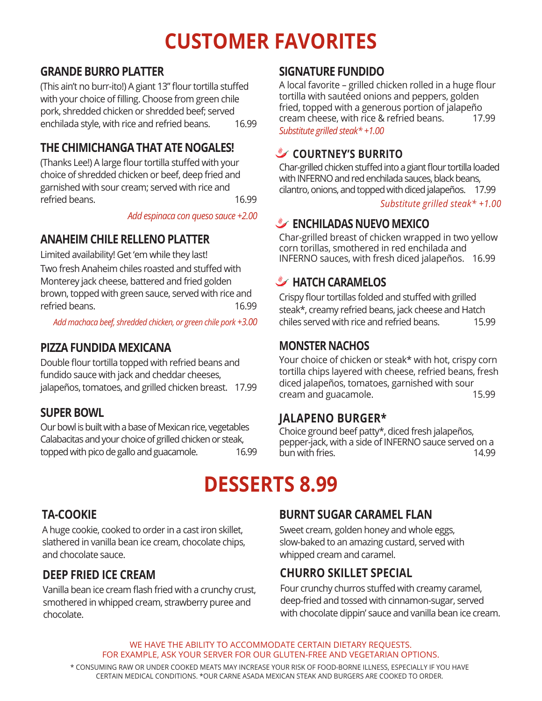# **CUSTOMER FAVORITES**

# **GRANDE BURRO PLATTER**

(This ain't no burr-ito!) A giant 13" flour tortilla stuffed with your choice of filling. Choose from green chile pork, shredded chicken or shredded beef; served enchilada style, with rice and refried beans. 16.99

# **THE CHIMICHANGA THAT ATE NOGALES!**

(Thanks Lee!) A large flour tortilla stuffed with your choice of shredded chicken or beef, deep fried and garnished with sour cream; served with rice and refried beans. 16.99

*Add espinaca con queso sauce +2.00*

# **ANAHEIM CHILE RELLENO PLATTER**

Limited availability! Get 'em while they last! Two fresh Anaheim chiles roasted and stuffed with Monterey jack cheese, battered and fried golden brown, topped with green sauce, served with rice and refried beans. 16.99

*Add machaca beef, shredded chicken, or green chile pork +3.00*

### **PIZZA FUNDIDA MEXICANA**

Double flour tortilla topped with refried beans and fundido sauce with jack and cheddar cheeses, jalapeños, tomatoes, and grilled chicken breast. 17.99

#### **SUPER BOWL**

Our bowl is built with a base of Mexican rice, vegetables Calabacitas and your choice of grilled chicken or steak, topped with pico de gallo and guacamole. 16.99

### **SIGNATURE FUNDIDO**

A local favorite – grilled chicken rolled in a huge flour tortilla with sautéed onions and peppers, golden fried, topped with a generous portion of jalapeño cream cheese, with rice & refried beans. 17.99 *Substitute grilled steak\* +1.00*

### **COURTNEY'S BURRITO**

Char-grilled chicken stuffed into a giant flour tortilla loaded with INFERNO and red enchilada sauces, black beans, cilantro, onions, and topped with diced jalapeños. 17.99

*Substitute grilled steak\* +1.00*

# **ENCHILADAS NUEVO MEXICO**

Char-grilled breast of chicken wrapped in two yellow corn torillas, smothered in red enchilada and INFERNO sauces, with fresh diced jalapeños. 16.99

# **HATCH CARAMELOS**

Crispy flour tortillas folded and stuffed with grilled steak\*, creamy refried beans, jack cheese and Hatch chiles served with rice and refried beans. 15.99

### **MONSTER NACHOS**

Your choice of chicken or steak\* with hot, crispy corn tortilla chips layered with cheese, refried beans, fresh diced jalapeños, tomatoes, garnished with sour cream and guacamole. 15.99

### **JALAPENO BURGER\***

Choice ground beef patty\*, diced fresh jalapeños, pepper-jack, with a side of INFERNO sauce served on a bun with fries.

# **DESSERTS 8.99**

# **TA-COOKIE**

A huge cookie, cooked to order in a cast iron skillet, slathered in vanilla bean ice cream, chocolate chips, and chocolate sauce.

### **DEEP FRIED ICE CREAM**

Vanilla bean ice cream flash fried with a crunchy crust, smothered in whipped cream, strawberry puree and chocolate.

### **BURNT SUGAR CARAMEL FLAN**

Sweet cream, golden honey and whole eggs, slow-baked to an amazing custard, served with whipped cream and caramel.

# **CHURRO SKILLET SPECIAL**

Four crunchy churros stuffed with creamy caramel, deep-fried and tossed with cinnamon-sugar, served with chocolate dippin' sauce and vanilla bean ice cream.

WE HAVE THE ABILITY TO ACCOMMODATE CERTAIN DIETARY REOUESTS. FOR EXAMPLE, ASK YOUR SERVER FOR OUR GLUTEN-FREE AND VEGETARIAN OPTIONS.

\* CONSUMING RAW OR UNDER COOKED MEATS MAY INCREASE YOUR RISK OF FOOD-BORNE ILLNESS, ESPECIALLY IF YOU HAVE CERTAIN MEDICAL CONDITIONS. \*OUR CARNE ASADA MEXICAN STEAK AND BURGERS ARE COOKED TO ORDER.